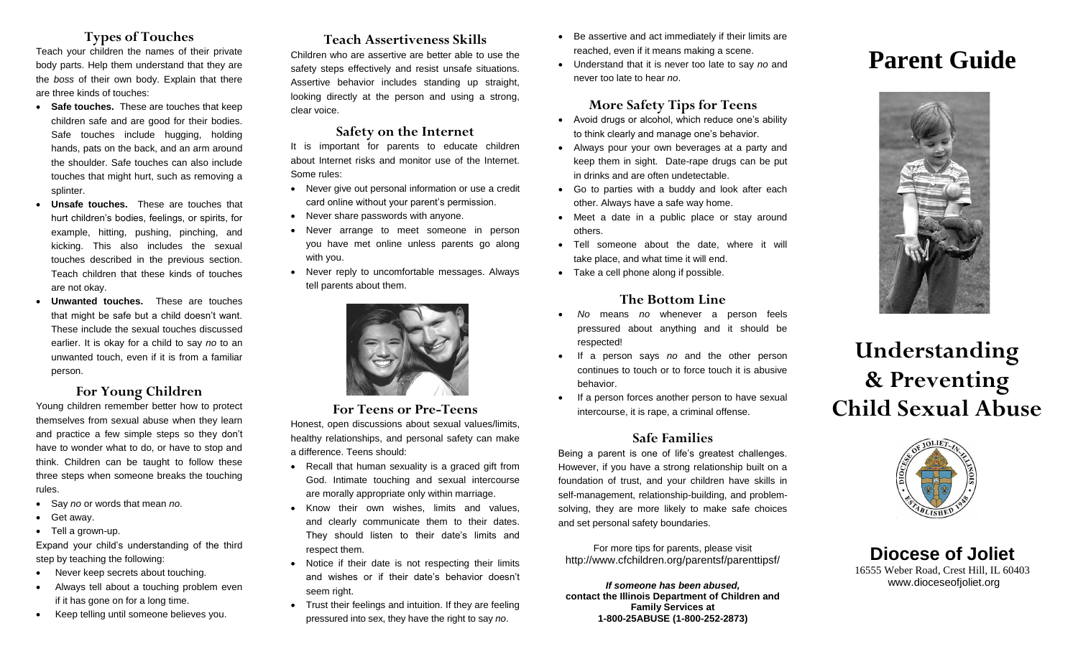## **Types of Touches**

Teach your children the names of their private body parts. Help them understand that they are the *boss* of their own body. Explain that there are three kinds of touches:

- **Safe touches.** These are touches that keep children safe and are good for their bodies. Safe touches include hugging, holding hands, pats on the back, and an arm around the shoulder. Safe touches can also include touches that might hurt, such as removing a splinter.
- **Unsafe touches.** These are touches that hurt children's bodies, feelings, or spirits, for example, hitting, pushing, pinching, and kicking. This also includes the sexual touches described in the previous section. Teach children that these kinds of touches are not okay.
- **Unwanted touches.** These are touches that might be safe but a child doesn't want. These include the sexual touches discussed earlier. It is okay for a child to say *no* to an unwanted touch, even if it is from a familiar person.

## **For Young Children**

Young children remember better how to protect themselves from sexual abuse when they learn and practice a few simple steps so they don't have to wonder what to do, or have to stop and think. Children can be taught to follow these three steps when someone breaks the touching rules.

- Say *no* or words that mean *no*.
- Get away.
- Tell a grown-up.

Expand your child's understanding of the third step by teaching the following:

- Never keep secrets about touching.
- Always tell about a touching problem even if it has gone on for a long time.
- Keep telling until someone believes you.

## **Teach Assertiveness Skills**

Children who are assertive are better able to use the safety steps effectively and resist unsafe situations. Assertive behavior includes standing up straight, looking directly at the person and using a strong, clear voice.

#### **Safety on the Internet**

It is important for parents to educate children about Internet risks and monitor use of the Internet. Some rules:

- Never give out personal information or use a credit card online without your parent's permission.
- Never share passwords with anyone.
- Never arrange to meet someone in person you have met online unless parents go along with you.
- Never reply to uncomfortable messages. Always tell parents about them.



#### **For Teens or Pre-Teens**

Honest, open discussions about sexual values/limits, healthy relationships, and personal safety can make a difference. Teens should:

- Recall that human sexuality is a graced gift from God. Intimate touching and sexual intercourse are morally appropriate only within marriage.
- Know their own wishes, limits and values, and clearly communicate them to their dates. They should listen to their date's limits and respect them.
- Notice if their date is not respecting their limits and wishes or if their date's behavior doesn't seem right.
- Trust their feelings and intuition. If they are feeling pressured into sex, they have the right to say *no*.
- Be assertive and act immediately if their limits are reached, even if it means making a scene.
- Understand that it is never too late to say *no* and never too late to hear *no*.

#### **More Safety Tips for Teens**

- Avoid drugs or alcohol, which reduce one's ability to think clearly and manage one's behavior.
- Always pour your own beverages at a party and keep them in sight. Date-rape drugs can be put in drinks and are often undetectable.
- Go to parties with a buddy and look after each other. Always have a safe way home.
- Meet a date in a public place or stay around others.
- Tell someone about the date, where it will take place, and what time it will end.
- Take a cell phone along if possible.

#### **The Bottom Line**

- *No* means *no* whenever a person feels pressured about anything and it should be respected!
- If a person says *no* and the other person continues to touch or to force touch it is abusive behavior.
- If a person forces another person to have sexual intercourse, it is rape, a criminal offense.

#### **Safe Families**

Being a parent is one of life's greatest challenges. However, if you have a strong relationship built on a foundation of trust, and your children have skills in self-management, relationship-building, and problemsolving, they are more likely to make safe choices and set personal safety boundaries.

For more tips for parents, please visit http://www.cfchildren.org/parentsf/parenttipsf/

*If someone has been abused,* **contact the Illinois Department of Children and Family Services at 1-800-25ABUSE (1-800-252-2873)**

# **Parent Guide**



# **Understanding & Preventing Child Sexual Abuse**



**Diocese of Joliet** 16555 Weber Road, Crest Hill, IL 60403 www.dioceseofjoliet.org